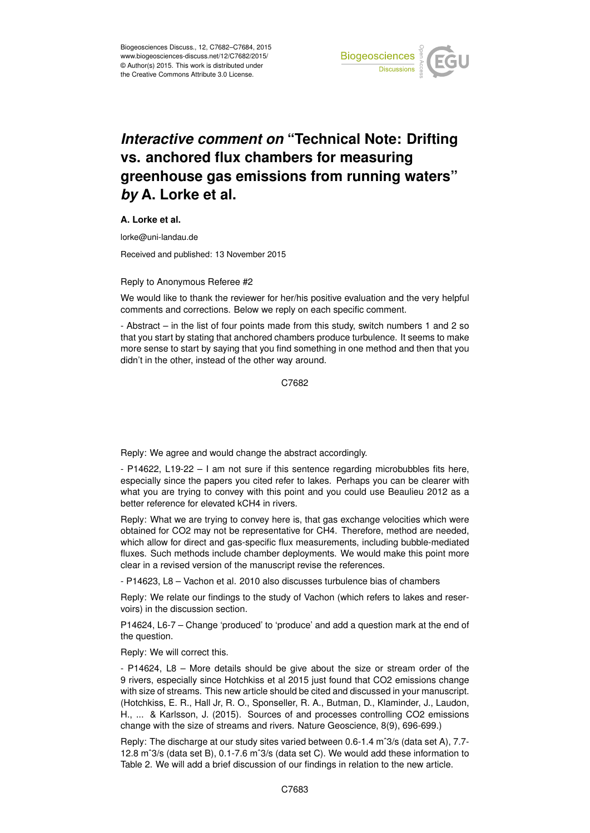

## *Interactive comment on* **"Technical Note: Drifting vs. anchored flux chambers for measuring greenhouse gas emissions from running waters"** *by* **A. Lorke et al.**

**A. Lorke et al.**

lorke@uni-landau.de

Received and published: 13 November 2015

## Reply to Anonymous Referee #2

We would like to thank the reviewer for her/his positive evaluation and the very helpful comments and corrections. Below we reply on each specific comment.

- Abstract – in the list of four points made from this study, switch numbers 1 and 2 so that you start by stating that anchored chambers produce turbulence. It seems to make more sense to start by saying that you find something in one method and then that you didn't in the other, instead of the other way around.

C7682

Reply: We agree and would change the abstract accordingly.

- P14622, L19-22 – I am not sure if this sentence regarding microbubbles fits here, especially since the papers you cited refer to lakes. Perhaps you can be clearer with what you are trying to convey with this point and you could use Beaulieu 2012 as a better reference for elevated kCH4 in rivers.

Reply: What we are trying to convey here is, that gas exchange velocities which were obtained for CO2 may not be representative for CH4. Therefore, method are needed, which allow for direct and gas-specific flux measurements, including bubble-mediated fluxes. Such methods include chamber deployments. We would make this point more clear in a revised version of the manuscript revise the references.

- P14623, L8 – Vachon et al. 2010 also discusses turbulence bias of chambers

Reply: We relate our findings to the study of Vachon (which refers to lakes and reservoirs) in the discussion section.

P14624, L6-7 – Change 'produced' to 'produce' and add a question mark at the end of the question.

Reply: We will correct this.

- P14624, L8 – More details should be give about the size or stream order of the 9 rivers, especially since Hotchkiss et al 2015 just found that CO2 emissions change with size of streams. This new article should be cited and discussed in your manuscript. (Hotchkiss, E. R., Hall Jr, R. O., Sponseller, R. A., Butman, D., Klaminder, J., Laudon, H., ... & Karlsson, J. (2015). Sources of and processes controlling CO2 emissions change with the size of streams and rivers. Nature Geoscience, 8(9), 696-699.)

Reply: The discharge at our study sites varied between 0.6-1.4 mˆ3/s (data set A), 7.7- 12.8 mˆ3/s (data set B), 0.1-7.6 mˆ3/s (data set C). We would add these information to Table 2. We will add a brief discussion of our findings in relation to the new article.